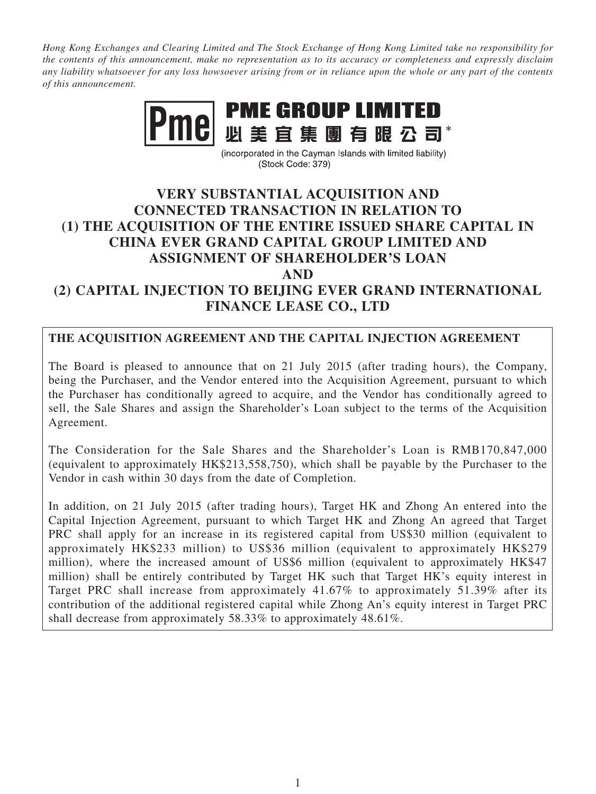*Hong Kong Exchanges and Clearing Limited and The Stock Exchange of Hong Kong Limited take no responsibility for the contents of this announcement, make no representation as to its accuracy or completeness and expressly disclaim any liability whatsoever for any loss howsoever arising from or in reliance upon the whole or any part of the contents of this announcement.*



(incorporated in the Cayman Islands with limited liability) (Stock Code: 379)

# **VERY SUBSTANTIAL ACQUISITION AND CONNECTED TRANSACTION IN RELATION TO (1) THE ACQUISITION OF THE ENTIRE ISSUED SHARE CAPITAL IN CHINA EVER GRAND CAPITAL GROUP LIMITED AND ASSIGNMENT OF SHAREHOLDER'S LOAN AND (2) CAPITAL INJECTION TO BEIJING EVER GRAND INTERNATIONAL FINANCE LEASE CO., LTD**

### **THE ACQUISITION AGREEMENT AND THE CAPITAL INJECTION AGREEMENT**

The Board is pleased to announce that on 21 July 2015 (after trading hours), the Company, being the Purchaser, and the Vendor entered into the Acquisition Agreement, pursuant to which the Purchaser has conditionally agreed to acquire, and the Vendor has conditionally agreed to sell, the Sale Shares and assign the Shareholder's Loan subject to the terms of the Acquisition Agreement.

The Consideration for the Sale Shares and the Shareholder's Loan is RMB170,847,000 (equivalent to approximately HK\$213,558,750), which shall be payable by the Purchaser to the Vendor in cash within 30 days from the date of Completion.

In addition, on 21 July 2015 (after trading hours), Target HK and Zhong An entered into the Capital Injection Agreement, pursuant to which Target HK and Zhong An agreed that Target PRC shall apply for an increase in its registered capital from US\$30 million (equivalent to approximately HK\$233 million) to US\$36 million (equivalent to approximately HK\$279 million), where the increased amount of US\$6 million (equivalent to approximately HK\$47 million) shall be entirely contributed by Target HK such that Target HK's equity interest in Target PRC shall increase from approximately 41.67% to approximately 51.39% after its contribution of the additional registered capital while Zhong An's equity interest in Target PRC shall decrease from approximately 58.33% to approximately 48.61%.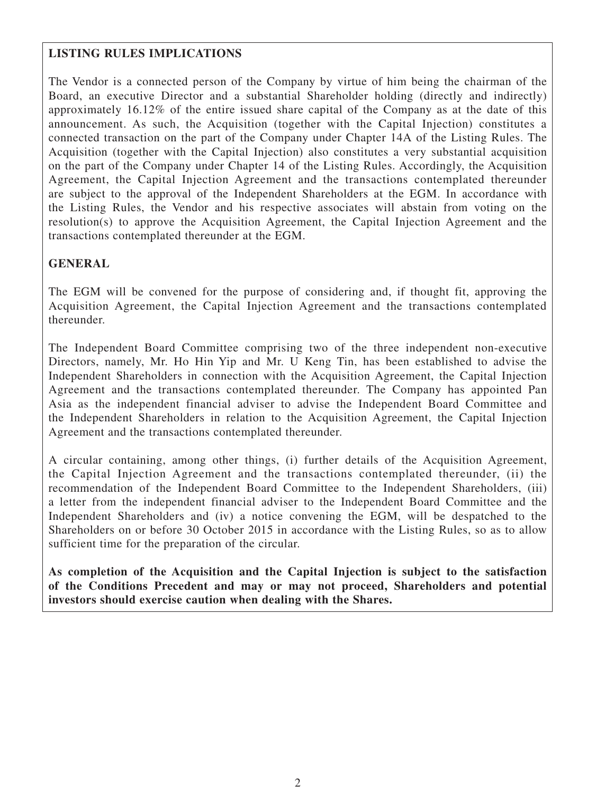### **LISTING RULES IMPLICATIONS**

The Vendor is a connected person of the Company by virtue of him being the chairman of the Board, an executive Director and a substantial Shareholder holding (directly and indirectly) approximately 16.12% of the entire issued share capital of the Company as at the date of this announcement. As such, the Acquisition (together with the Capital Injection) constitutes a connected transaction on the part of the Company under Chapter 14A of the Listing Rules. The Acquisition (together with the Capital Injection) also constitutes a very substantial acquisition on the part of the Company under Chapter 14 of the Listing Rules. Accordingly, the Acquisition Agreement, the Capital Injection Agreement and the transactions contemplated thereunder are subject to the approval of the Independent Shareholders at the EGM. In accordance with the Listing Rules, the Vendor and his respective associates will abstain from voting on the resolution(s) to approve the Acquisition Agreement, the Capital Injection Agreement and the transactions contemplated thereunder at the EGM.

### **GENERAL**

The EGM will be convened for the purpose of considering and, if thought fit, approving the Acquisition Agreement, the Capital Injection Agreement and the transactions contemplated thereunder.

The Independent Board Committee comprising two of the three independent non-executive Directors, namely, Mr. Ho Hin Yip and Mr. U Keng Tin, has been established to advise the Independent Shareholders in connection with the Acquisition Agreement, the Capital Injection Agreement and the transactions contemplated thereunder. The Company has appointed Pan Asia as the independent financial adviser to advise the Independent Board Committee and the Independent Shareholders in relation to the Acquisition Agreement, the Capital Injection Agreement and the transactions contemplated thereunder.

A circular containing, among other things, (i) further details of the Acquisition Agreement, the Capital Injection Agreement and the transactions contemplated thereunder, (ii) the recommendation of the Independent Board Committee to the Independent Shareholders, (iii) a letter from the independent financial adviser to the Independent Board Committee and the Independent Shareholders and (iv) a notice convening the EGM, will be despatched to the Shareholders on or before 30 October 2015 in accordance with the Listing Rules, so as to allow sufficient time for the preparation of the circular.

**As completion of the Acquisition and the Capital Injection is subject to the satisfaction of the Conditions Precedent and may or may not proceed, Shareholders and potential investors should exercise caution when dealing with the Shares.**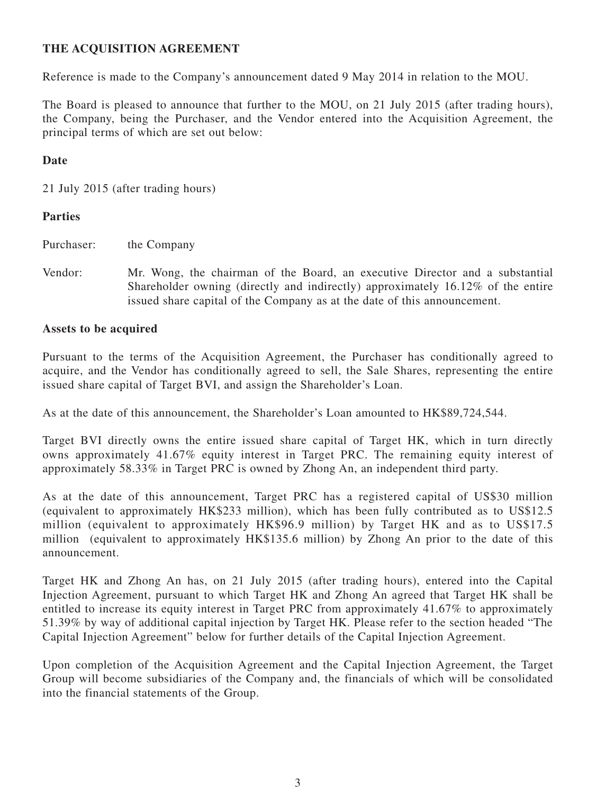### **THE ACQUISITION AGREEMENT**

Reference is made to the Company's announcement dated 9 May 2014 in relation to the MOU.

The Board is pleased to announce that further to the MOU, on 21 July 2015 (after trading hours), the Company, being the Purchaser, and the Vendor entered into the Acquisition Agreement, the principal terms of which are set out below:

#### **Date**

21 July 2015 (after trading hours)

#### **Parties**

Purchaser: the Company

Vendor: Mr. Wong, the chairman of the Board, an executive Director and a substantial Shareholder owning (directly and indirectly) approximately 16.12% of the entire issued share capital of the Company as at the date of this announcement.

#### **Assets to be acquired**

Pursuant to the terms of the Acquisition Agreement, the Purchaser has conditionally agreed to acquire, and the Vendor has conditionally agreed to sell, the Sale Shares, representing the entire issued share capital of Target BVI, and assign the Shareholder's Loan.

As at the date of this announcement, the Shareholder's Loan amounted to HK\$89,724,544.

Target BVI directly owns the entire issued share capital of Target HK, which in turn directly owns approximately 41.67% equity interest in Target PRC. The remaining equity interest of approximately 58.33% in Target PRC is owned by Zhong An, an independent third party.

As at the date of this announcement, Target PRC has a registered capital of US\$30 million (equivalent to approximately HK\$233 million), which has been fully contributed as to US\$12.5 million (equivalent to approximately HK\$96.9 million) by Target HK and as to US\$17.5 million (equivalent to approximately HK\$135.6 million) by Zhong An prior to the date of this announcement.

Target HK and Zhong An has, on 21 July 2015 (after trading hours), entered into the Capital Injection Agreement, pursuant to which Target HK and Zhong An agreed that Target HK shall be entitled to increase its equity interest in Target PRC from approximately 41.67% to approximately 51.39% by way of additional capital injection by Target HK. Please refer to the section headed "The Capital Injection Agreement" below for further details of the Capital Injection Agreement.

Upon completion of the Acquisition Agreement and the Capital Injection Agreement, the Target Group will become subsidiaries of the Company and, the financials of which will be consolidated into the financial statements of the Group.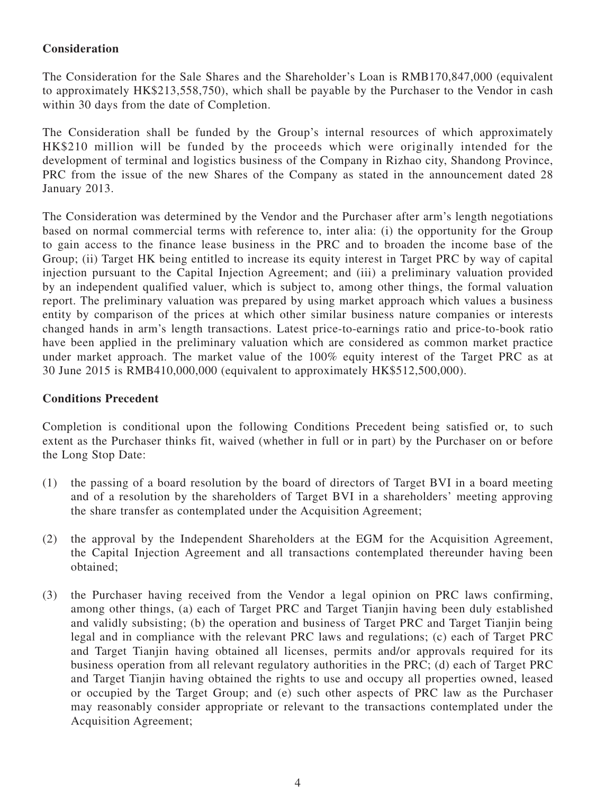### **Consideration**

The Consideration for the Sale Shares and the Shareholder's Loan is RMB170,847,000 (equivalent to approximately HK\$213,558,750), which shall be payable by the Purchaser to the Vendor in cash within 30 days from the date of Completion.

The Consideration shall be funded by the Group's internal resources of which approximately HK\$210 million will be funded by the proceeds which were originally intended for the development of terminal and logistics business of the Company in Rizhao city, Shandong Province, PRC from the issue of the new Shares of the Company as stated in the announcement dated 28 January 2013.

The Consideration was determined by the Vendor and the Purchaser after arm's length negotiations based on normal commercial terms with reference to, inter alia: (i) the opportunity for the Group to gain access to the finance lease business in the PRC and to broaden the income base of the Group; (ii) Target HK being entitled to increase its equity interest in Target PRC by way of capital injection pursuant to the Capital Injection Agreement; and (iii) a preliminary valuation provided by an independent qualified valuer, which is subject to, among other things, the formal valuation report. The preliminary valuation was prepared by using market approach which values a business entity by comparison of the prices at which other similar business nature companies or interests changed hands in arm's length transactions. Latest price-to-earnings ratio and price-to-book ratio have been applied in the preliminary valuation which are considered as common market practice under market approach. The market value of the 100% equity interest of the Target PRC as at 30 June 2015 is RMB410,000,000 (equivalent to approximately HK\$512,500,000).

#### **Conditions Precedent**

Completion is conditional upon the following Conditions Precedent being satisfied or, to such extent as the Purchaser thinks fit, waived (whether in full or in part) by the Purchaser on or before the Long Stop Date:

- (1) the passing of a board resolution by the board of directors of Target BVI in a board meeting and of a resolution by the shareholders of Target BVI in a shareholders' meeting approving the share transfer as contemplated under the Acquisition Agreement;
- (2) the approval by the Independent Shareholders at the EGM for the Acquisition Agreement, the Capital Injection Agreement and all transactions contemplated thereunder having been obtained;
- (3) the Purchaser having received from the Vendor a legal opinion on PRC laws confirming, among other things, (a) each of Target PRC and Target Tianjin having been duly established and validly subsisting; (b) the operation and business of Target PRC and Target Tianjin being legal and in compliance with the relevant PRC laws and regulations; (c) each of Target PRC and Target Tianjin having obtained all licenses, permits and/or approvals required for its business operation from all relevant regulatory authorities in the PRC; (d) each of Target PRC and Target Tianjin having obtained the rights to use and occupy all properties owned, leased or occupied by the Target Group; and (e) such other aspects of PRC law as the Purchaser may reasonably consider appropriate or relevant to the transactions contemplated under the Acquisition Agreement;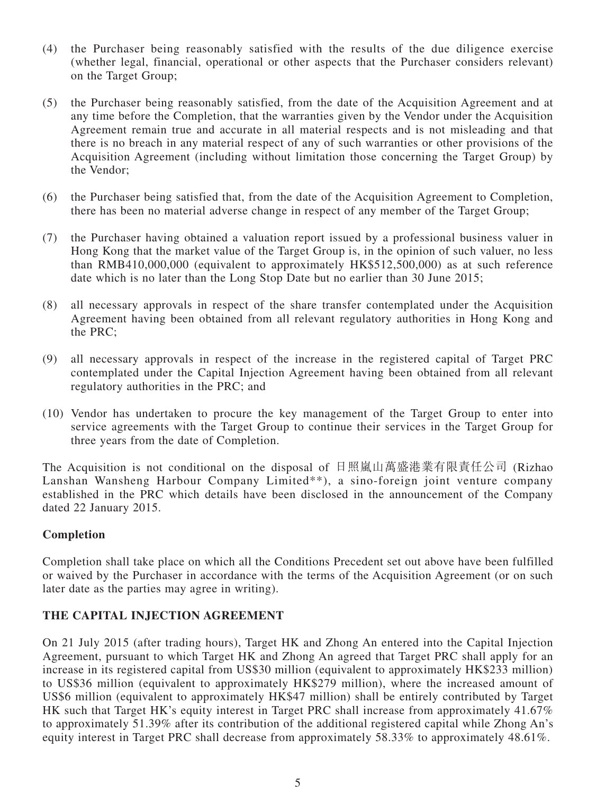- (4) the Purchaser being reasonably satisfied with the results of the due diligence exercise (whether legal, financial, operational or other aspects that the Purchaser considers relevant) on the Target Group;
- (5) the Purchaser being reasonably satisfied, from the date of the Acquisition Agreement and at any time before the Completion, that the warranties given by the Vendor under the Acquisition Agreement remain true and accurate in all material respects and is not misleading and that there is no breach in any material respect of any of such warranties or other provisions of the Acquisition Agreement (including without limitation those concerning the Target Group) by the Vendor;
- (6) the Purchaser being satisfied that, from the date of the Acquisition Agreement to Completion, there has been no material adverse change in respect of any member of the Target Group;
- (7) the Purchaser having obtained a valuation report issued by a professional business valuer in Hong Kong that the market value of the Target Group is, in the opinion of such valuer, no less than RMB410,000,000 (equivalent to approximately HK\$512,500,000) as at such reference date which is no later than the Long Stop Date but no earlier than 30 June 2015;
- (8) all necessary approvals in respect of the share transfer contemplated under the Acquisition Agreement having been obtained from all relevant regulatory authorities in Hong Kong and the PRC;
- (9) all necessary approvals in respect of the increase in the registered capital of Target PRC contemplated under the Capital Injection Agreement having been obtained from all relevant regulatory authorities in the PRC; and
- (10) Vendor has undertaken to procure the key management of the Target Group to enter into service agreements with the Target Group to continue their services in the Target Group for three years from the date of Completion.

The Acquisition is not conditional on the disposal of 日照嵐山萬盛港業有限責任公司 (Rizhao Lanshan Wansheng Harbour Company Limited\*\*), a sino-foreign joint venture company established in the PRC which details have been disclosed in the announcement of the Company dated 22 January 2015.

#### **Completion**

Completion shall take place on which all the Conditions Precedent set out above have been fulfilled or waived by the Purchaser in accordance with the terms of the Acquisition Agreement (or on such later date as the parties may agree in writing).

#### **THE CAPITAL INJECTION AGREEMENT**

On 21 July 2015 (after trading hours), Target HK and Zhong An entered into the Capital Injection Agreement, pursuant to which Target HK and Zhong An agreed that Target PRC shall apply for an increase in its registered capital from US\$30 million (equivalent to approximately HK\$233 million) to US\$36 million (equivalent to approximately HK\$279 million), where the increased amount of US\$6 million (equivalent to approximately HK\$47 million) shall be entirely contributed by Target HK such that Target HK's equity interest in Target PRC shall increase from approximately 41.67% to approximately 51.39% after its contribution of the additional registered capital while Zhong An's equity interest in Target PRC shall decrease from approximately 58.33% to approximately 48.61%.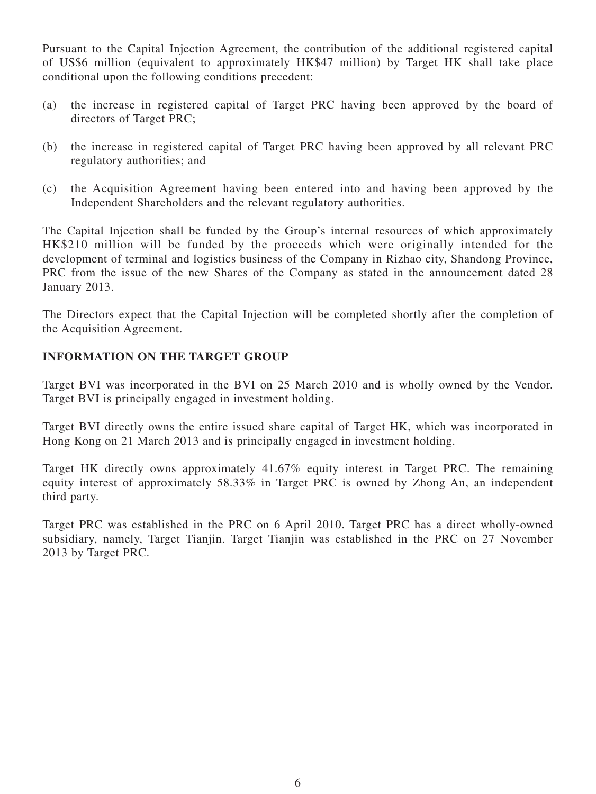Pursuant to the Capital Injection Agreement, the contribution of the additional registered capital of US\$6 million (equivalent to approximately HK\$47 million) by Target HK shall take place conditional upon the following conditions precedent:

- (a) the increase in registered capital of Target PRC having been approved by the board of directors of Target PRC;
- (b) the increase in registered capital of Target PRC having been approved by all relevant PRC regulatory authorities; and
- (c) the Acquisition Agreement having been entered into and having been approved by the Independent Shareholders and the relevant regulatory authorities.

The Capital Injection shall be funded by the Group's internal resources of which approximately HK\$210 million will be funded by the proceeds which were originally intended for the development of terminal and logistics business of the Company in Rizhao city, Shandong Province, PRC from the issue of the new Shares of the Company as stated in the announcement dated 28 January 2013.

The Directors expect that the Capital Injection will be completed shortly after the completion of the Acquisition Agreement.

#### **INFORMATION ON THE TARGET GROUP**

Target BVI was incorporated in the BVI on 25 March 2010 and is wholly owned by the Vendor. Target BVI is principally engaged in investment holding.

Target BVI directly owns the entire issued share capital of Target HK, which was incorporated in Hong Kong on 21 March 2013 and is principally engaged in investment holding.

Target HK directly owns approximately 41.67% equity interest in Target PRC. The remaining equity interest of approximately 58.33% in Target PRC is owned by Zhong An, an independent third party.

Target PRC was established in the PRC on 6 April 2010. Target PRC has a direct wholly-owned subsidiary, namely, Target Tianjin. Target Tianjin was established in the PRC on 27 November 2013 by Target PRC.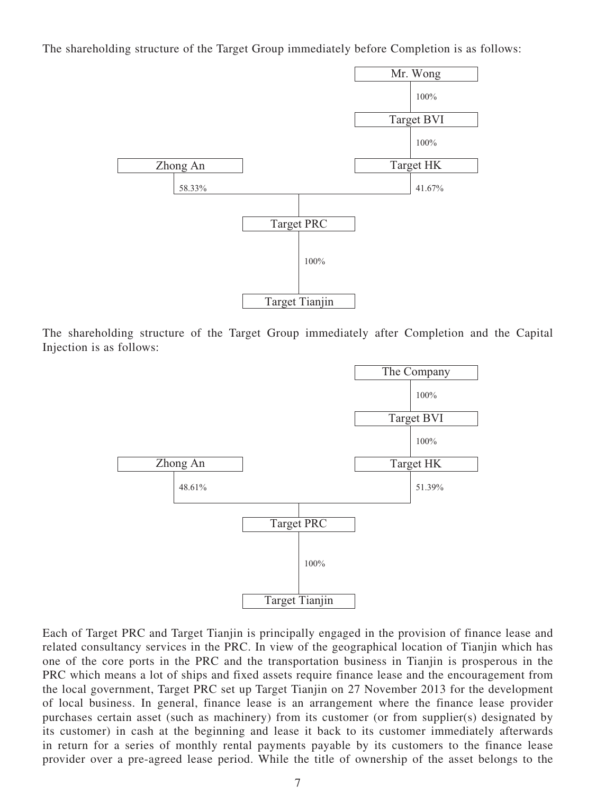The shareholding structure of the Target Group immediately before Completion is as follows:



The shareholding structure of the Target Group immediately after Completion and the Capital Injection is as follows:



Each of Target PRC and Target Tianjin is principally engaged in the provision of finance lease and related consultancy services in the PRC. In view of the geographical location of Tianjin which has one of the core ports in the PRC and the transportation business in Tianjin is prosperous in the PRC which means a lot of ships and fixed assets require finance lease and the encouragement from the local government, Target PRC set up Target Tianjin on 27 November 2013 for the development of local business. In general, finance lease is an arrangement where the finance lease provider purchases certain asset (such as machinery) from its customer (or from supplier(s) designated by its customer) in cash at the beginning and lease it back to its customer immediately afterwards in return for a series of monthly rental payments payable by its customers to the finance lease provider over a pre-agreed lease period. While the title of ownership of the asset belongs to the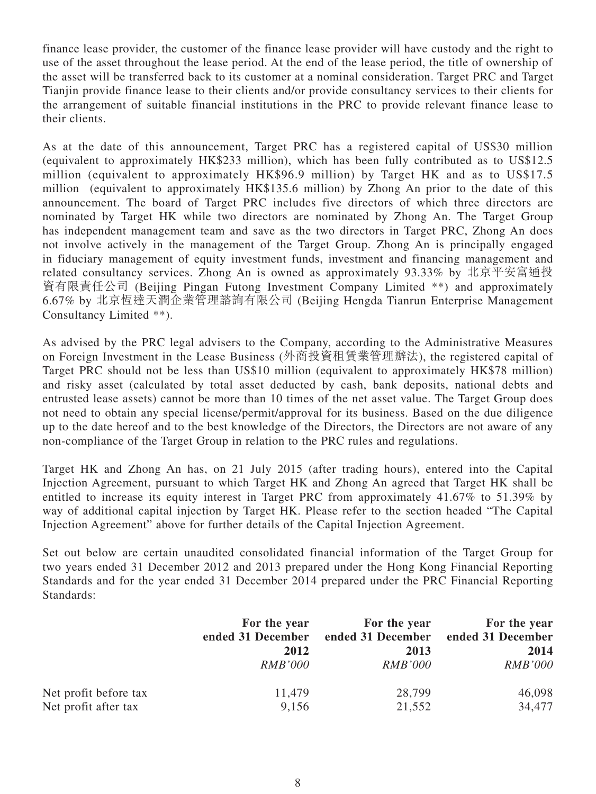finance lease provider, the customer of the finance lease provider will have custody and the right to use of the asset throughout the lease period. At the end of the lease period, the title of ownership of the asset will be transferred back to its customer at a nominal consideration. Target PRC and Target Tianjin provide finance lease to their clients and/or provide consultancy services to their clients for the arrangement of suitable financial institutions in the PRC to provide relevant finance lease to their clients.

As at the date of this announcement, Target PRC has a registered capital of US\$30 million (equivalent to approximately HK\$233 million), which has been fully contributed as to US\$12.5 million (equivalent to approximately HK\$96.9 million) by Target HK and as to US\$17.5 million (equivalent to approximately HK\$135.6 million) by Zhong An prior to the date of this announcement. The board of Target PRC includes five directors of which three directors are nominated by Target HK while two directors are nominated by Zhong An. The Target Group has independent management team and save as the two directors in Target PRC, Zhong An does not involve actively in the management of the Target Group. Zhong An is principally engaged in fiduciary management of equity investment funds, investment and financing management and related consultancy services. Zhong An is owned as approximately 93.33% by 北京平安富通投 資有限責任公司 (Beijing Pingan Futong Investment Company Limited \*\*) and approximately 6.67% by 北京恆達天潤企業管理諮詢有限公司 (Beijing Hengda Tianrun Enterprise Management Consultancy Limited \*\*).

As advised by the PRC legal advisers to the Company, according to the Administrative Measures on Foreign Investment in the Lease Business (外商投資租賃業管理辦法), the registered capital of Target PRC should not be less than US\$10 million (equivalent to approximately HK\$78 million) and risky asset (calculated by total asset deducted by cash, bank deposits, national debts and entrusted lease assets) cannot be more than 10 times of the net asset value. The Target Group does not need to obtain any special license/permit/approval for its business. Based on the due diligence up to the date hereof and to the best knowledge of the Directors, the Directors are not aware of any non-compliance of the Target Group in relation to the PRC rules and regulations.

Target HK and Zhong An has, on 21 July 2015 (after trading hours), entered into the Capital Injection Agreement, pursuant to which Target HK and Zhong An agreed that Target HK shall be entitled to increase its equity interest in Target PRC from approximately 41.67% to 51.39% by way of additional capital injection by Target HK. Please refer to the section headed "The Capital Injection Agreement" above for further details of the Capital Injection Agreement.

Set out below are certain unaudited consolidated financial information of the Target Group for two years ended 31 December 2012 and 2013 prepared under the Hong Kong Financial Reporting Standards and for the year ended 31 December 2014 prepared under the PRC Financial Reporting Standards:

|                       | For the year      | For the year      | For the year      |
|-----------------------|-------------------|-------------------|-------------------|
|                       | ended 31 December | ended 31 December | ended 31 December |
|                       | 2012              | 2013              | 2014              |
|                       | <i>RMB'000</i>    | <i>RMB'000</i>    | <b>RMB'000</b>    |
| Net profit before tax | 11,479            | 28,799            | 46,098            |
| Net profit after tax  | 9,156             | 21,552            | 34,477            |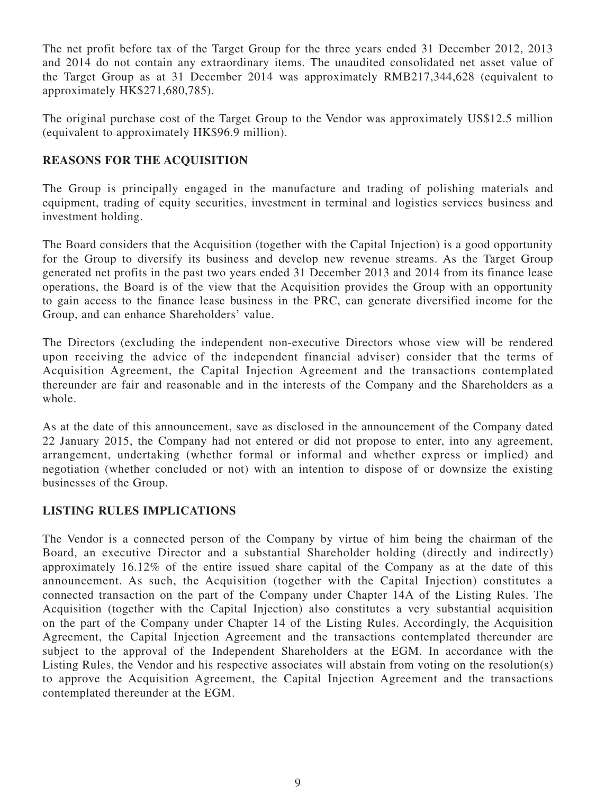The net profit before tax of the Target Group for the three years ended 31 December 2012, 2013 and 2014 do not contain any extraordinary items. The unaudited consolidated net asset value of the Target Group as at 31 December 2014 was approximately RMB217,344,628 (equivalent to approximately HK\$271,680,785).

The original purchase cost of the Target Group to the Vendor was approximately US\$12.5 million (equivalent to approximately HK\$96.9 million).

### **REASONS FOR THE ACQUISITION**

The Group is principally engaged in the manufacture and trading of polishing materials and equipment, trading of equity securities, investment in terminal and logistics services business and investment holding.

The Board considers that the Acquisition (together with the Capital Injection) is a good opportunity for the Group to diversify its business and develop new revenue streams. As the Target Group generated net profits in the past two years ended 31 December 2013 and 2014 from its finance lease operations, the Board is of the view that the Acquisition provides the Group with an opportunity to gain access to the finance lease business in the PRC, can generate diversified income for the Group, and can enhance Shareholders' value.

The Directors (excluding the independent non-executive Directors whose view will be rendered upon receiving the advice of the independent financial adviser) consider that the terms of Acquisition Agreement, the Capital Injection Agreement and the transactions contemplated thereunder are fair and reasonable and in the interests of the Company and the Shareholders as a whole.

As at the date of this announcement, save as disclosed in the announcement of the Company dated 22 January 2015, the Company had not entered or did not propose to enter, into any agreement, arrangement, undertaking (whether formal or informal and whether express or implied) and negotiation (whether concluded or not) with an intention to dispose of or downsize the existing businesses of the Group.

# **LISTING RULES IMPLICATIONS**

The Vendor is a connected person of the Company by virtue of him being the chairman of the Board, an executive Director and a substantial Shareholder holding (directly and indirectly) approximately 16.12% of the entire issued share capital of the Company as at the date of this announcement. As such, the Acquisition (together with the Capital Injection) constitutes a connected transaction on the part of the Company under Chapter 14A of the Listing Rules. The Acquisition (together with the Capital Injection) also constitutes a very substantial acquisition on the part of the Company under Chapter 14 of the Listing Rules. Accordingly, the Acquisition Agreement, the Capital Injection Agreement and the transactions contemplated thereunder are subject to the approval of the Independent Shareholders at the EGM. In accordance with the Listing Rules, the Vendor and his respective associates will abstain from voting on the resolution(s) to approve the Acquisition Agreement, the Capital Injection Agreement and the transactions contemplated thereunder at the EGM.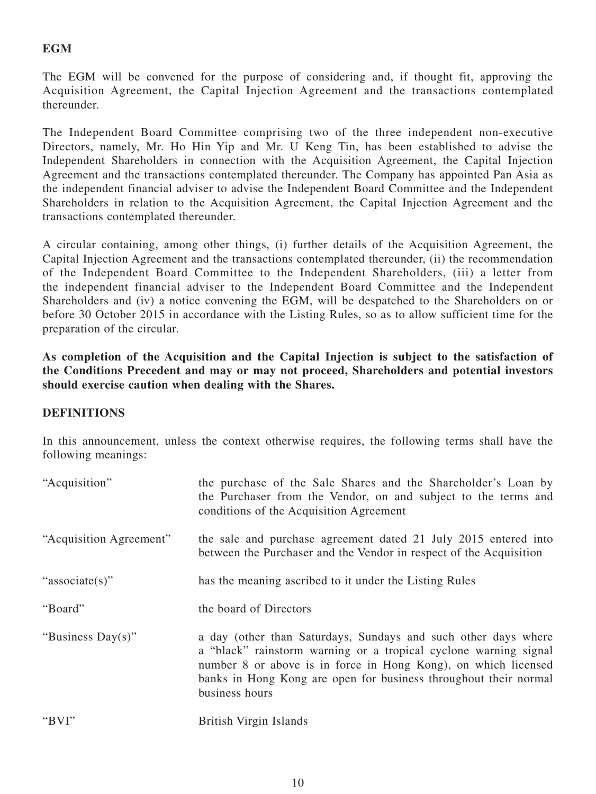# **EGM**

The EGM will be convened for the purpose of considering and, if thought fit, approving the Acquisition Agreement, the Capital Injection Agreement and the transactions contemplated thereunder.

The Independent Board Committee comprising two of the three independent non-executive Directors, namely, Mr. Ho Hin Yip and Mr. U Keng Tin, has been established to advise the Independent Shareholders in connection with the Acquisition Agreement, the Capital Injection Agreement and the transactions contemplated thereunder. The Company has appointed Pan Asia as the independent financial adviser to advise the Independent Board Committee and the Independent Shareholders in relation to the Acquisition Agreement, the Capital Injection Agreement and the transactions contemplated thereunder.

A circular containing, among other things, (i) further details of the Acquisition Agreement, the Capital Injection Agreement and the transactions contemplated thereunder, (ii) the recommendation of the Independent Board Committee to the Independent Shareholders, (iii) a letter from the independent financial adviser to the Independent Board Committee and the Independent Shareholders and (iv) a notice convening the EGM, will be despatched to the Shareholders on or before 30 October 2015 in accordance with the Listing Rules, so as to allow sufficient time for the preparation of the circular.

**As completion of the Acquisition and the Capital Injection is subject to the satisfaction of the Conditions Precedent and may or may not proceed, Shareholders and potential investors should exercise caution when dealing with the Shares.**

### **DEFINITIONS**

In this announcement, unless the context otherwise requires, the following terms shall have the following meanings:

| "Acquisition"           | the purchase of the Sale Shares and the Shareholder's Loan by<br>the Purchaser from the Vendor, on and subject to the terms and<br>conditions of the Acquisition Agreement                                                                                                                 |
|-------------------------|--------------------------------------------------------------------------------------------------------------------------------------------------------------------------------------------------------------------------------------------------------------------------------------------|
| "Acquisition Agreement" | the sale and purchase agreement dated 21 July 2015 entered into<br>between the Purchaser and the Vendor in respect of the Acquisition                                                                                                                                                      |
| "associate(s)"          | has the meaning ascribed to it under the Listing Rules                                                                                                                                                                                                                                     |
| "Board"                 | the board of Directors                                                                                                                                                                                                                                                                     |
| "Business Day(s)"       | a day (other than Saturdays, Sundays and such other days where<br>a "black" rainstorm warning or a tropical cyclone warning signal<br>number 8 or above is in force in Hong Kong), on which licensed<br>banks in Hong Kong are open for business throughout their normal<br>business hours |
| "BVI"                   | British Virgin Islands                                                                                                                                                                                                                                                                     |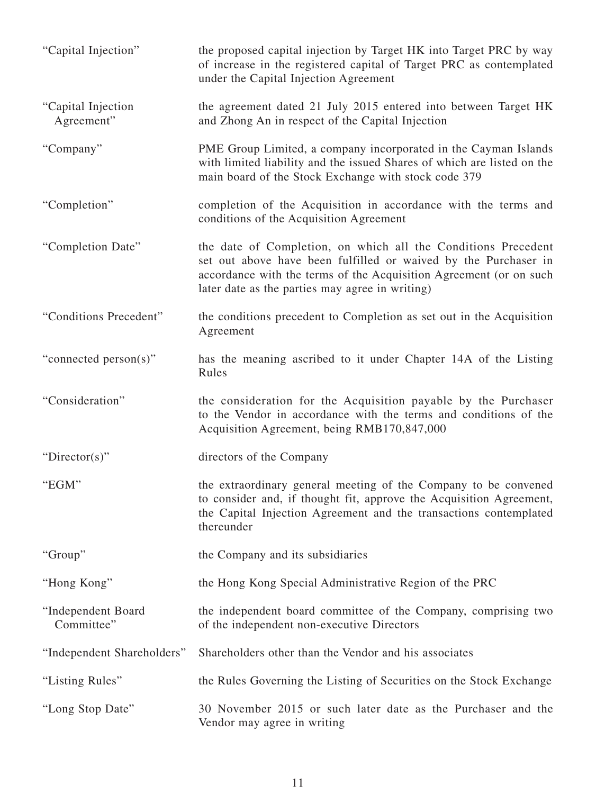| "Capital Injection"              | the proposed capital injection by Target HK into Target PRC by way<br>of increase in the registered capital of Target PRC as contemplated<br>under the Capital Injection Agreement                                                                        |
|----------------------------------|-----------------------------------------------------------------------------------------------------------------------------------------------------------------------------------------------------------------------------------------------------------|
| "Capital Injection<br>Agreement" | the agreement dated 21 July 2015 entered into between Target HK<br>and Zhong An in respect of the Capital Injection                                                                                                                                       |
| "Company"                        | PME Group Limited, a company incorporated in the Cayman Islands<br>with limited liability and the issued Shares of which are listed on the<br>main board of the Stock Exchange with stock code 379                                                        |
| "Completion"                     | completion of the Acquisition in accordance with the terms and<br>conditions of the Acquisition Agreement                                                                                                                                                 |
| "Completion Date"                | the date of Completion, on which all the Conditions Precedent<br>set out above have been fulfilled or waived by the Purchaser in<br>accordance with the terms of the Acquisition Agreement (or on such<br>later date as the parties may agree in writing) |
| "Conditions Precedent"           | the conditions precedent to Completion as set out in the Acquisition<br>Agreement                                                                                                                                                                         |
| "connected person(s)"            | has the meaning ascribed to it under Chapter 14A of the Listing<br>Rules                                                                                                                                                                                  |
| "Consideration"                  | the consideration for the Acquisition payable by the Purchaser<br>to the Vendor in accordance with the terms and conditions of the<br>Acquisition Agreement, being RMB170,847,000                                                                         |
| "Director(s)"                    | directors of the Company                                                                                                                                                                                                                                  |
| "EGM"                            | the extraordinary general meeting of the Company to be convened<br>to consider and, if thought fit, approve the Acquisition Agreement,<br>the Capital Injection Agreement and the transactions contemplated<br>thereunder                                 |
| "Group"                          | the Company and its subsidiaries                                                                                                                                                                                                                          |
| "Hong Kong"                      | the Hong Kong Special Administrative Region of the PRC                                                                                                                                                                                                    |
| "Independent Board<br>Committee" | the independent board committee of the Company, comprising two<br>of the independent non-executive Directors                                                                                                                                              |
| "Independent Shareholders"       | Shareholders other than the Vendor and his associates                                                                                                                                                                                                     |
| "Listing Rules"                  | the Rules Governing the Listing of Securities on the Stock Exchange                                                                                                                                                                                       |
| "Long Stop Date"                 | 30 November 2015 or such later date as the Purchaser and the<br>Vendor may agree in writing                                                                                                                                                               |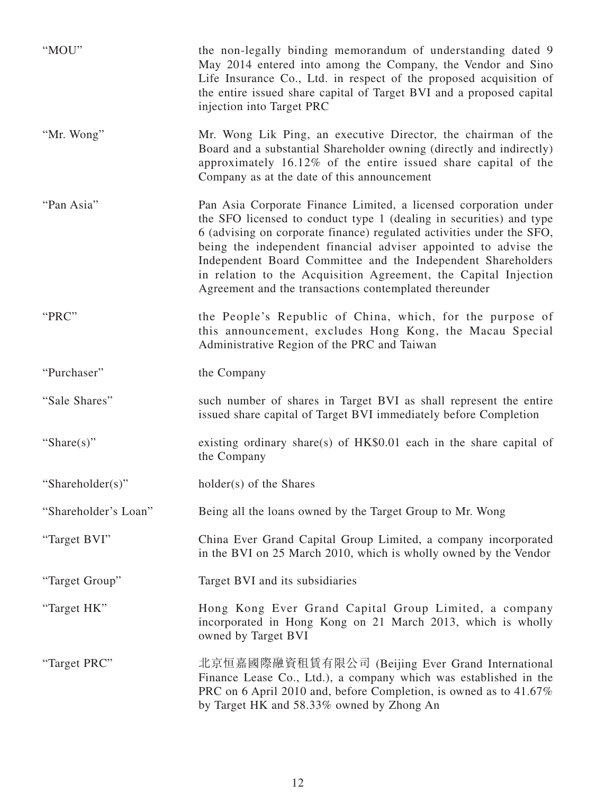| "MOU"                | the non-legally binding memorandum of understanding dated 9<br>May 2014 entered into among the Company, the Vendor and Sino<br>Life Insurance Co., Ltd. in respect of the proposed acquisition of<br>the entire issued share capital of Target BVI and a proposed capital<br>injection into Target PRC                                                                                                                                                                           |
|----------------------|----------------------------------------------------------------------------------------------------------------------------------------------------------------------------------------------------------------------------------------------------------------------------------------------------------------------------------------------------------------------------------------------------------------------------------------------------------------------------------|
| "Mr. Wong"           | Mr. Wong Lik Ping, an executive Director, the chairman of the<br>Board and a substantial Shareholder owning (directly and indirectly)<br>approximately 16.12% of the entire issued share capital of the<br>Company as at the date of this announcement                                                                                                                                                                                                                           |
| "Pan Asia"           | Pan Asia Corporate Finance Limited, a licensed corporation under<br>the SFO licensed to conduct type 1 (dealing in securities) and type<br>6 (advising on corporate finance) regulated activities under the SFO,<br>being the independent financial adviser appointed to advise the<br>Independent Board Committee and the Independent Shareholders<br>in relation to the Acquisition Agreement, the Capital Injection<br>Agreement and the transactions contemplated thereunder |
| "PRC"                | the People's Republic of China, which, for the purpose of<br>this announcement, excludes Hong Kong, the Macau Special<br>Administrative Region of the PRC and Taiwan                                                                                                                                                                                                                                                                                                             |
| "Purchaser"          | the Company                                                                                                                                                                                                                                                                                                                                                                                                                                                                      |
| "Sale Shares"        | such number of shares in Target BVI as shall represent the entire<br>issued share capital of Target BVI immediately before Completion                                                                                                                                                                                                                                                                                                                                            |
| "Share $(s)$ "       | existing ordinary share(s) of $HK$0.01$ each in the share capital of<br>the Company                                                                                                                                                                                                                                                                                                                                                                                              |
| "Shareholder(s)"     | holder(s) of the Shares                                                                                                                                                                                                                                                                                                                                                                                                                                                          |
| "Shareholder's Loan" | Being all the loans owned by the Target Group to Mr. Wong                                                                                                                                                                                                                                                                                                                                                                                                                        |
| "Target BVI"         | China Ever Grand Capital Group Limited, a company incorporated<br>in the BVI on 25 March 2010, which is wholly owned by the Vendor                                                                                                                                                                                                                                                                                                                                               |
| "Target Group"       | Target BVI and its subsidiaries                                                                                                                                                                                                                                                                                                                                                                                                                                                  |
| "Target HK"          | Hong Kong Ever Grand Capital Group Limited, a company<br>incorporated in Hong Kong on 21 March 2013, which is wholly<br>owned by Target BVI                                                                                                                                                                                                                                                                                                                                      |
| "Target PRC"         | 北京恒嘉國際融資租賃有限公司 (Beijing Ever Grand International<br>Finance Lease Co., Ltd.), a company which was established in the<br>PRC on 6 April 2010 and, before Completion, is owned as to 41.67%<br>by Target HK and 58.33% owned by Zhong An                                                                                                                                                                                                                                           |